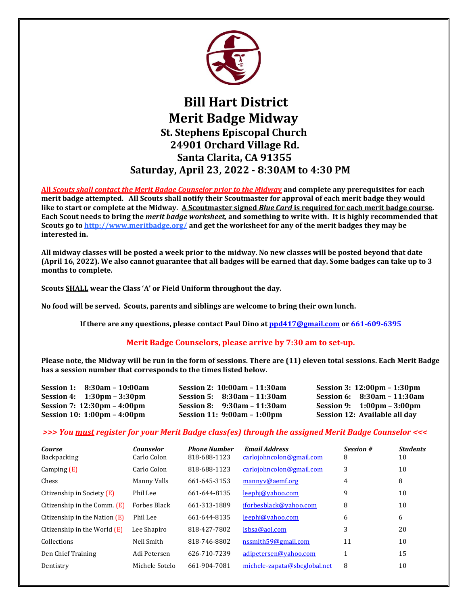

## **Bill Hart District Merit Badge Midway St. Stephens Episcopal Church 24901 Orchard Village Rd. Santa Clarita, CA 91355 Saturday, April 23, 2022 - 8:30AM to 4:30 PM**

**All** *Scouts shall contact the Merit Badge Counselor prior to the Midway* **and complete any prerequisites for each merit badge attempted. All Scouts shall notify their Scoutmaster for approval of each merit badge they would like to start or complete at the Midway. A Scoutmaster signed** *Blue Card* **is required for each merit badge course. Each Scout needs to bring the** *merit badge worksheet,* **and something to write with. It is highly recommended that Scouts go to <http://www.meritbadge.org/> and get the worksheet for any of the merit badges they may be interested in.**

**All midway classes will be posted a week prior to the midway. No new classes will be posted beyond that date (April 16, 2022). We also cannot guarantee that all badges will be earned that day. Some badges can take up to 3 months to complete.** 

**Scouts SHALL wear the Class 'A' or Field Uniform throughout the day.** 

1

**No food will be served. Scouts, parents and siblings are welcome to bring their own lunch.**

**If there are any questions, please contact Paul Dino a[t ppd417@gmail.com](mailto:ppd417@gmail.com) or 661-609-6395**

## **Merit Badge Counselors, please arrive by 7:30 am to set-up.**

**Please note, the Midway will be run in the form of sessions. There are (11) eleven total sessions. Each Merit Badge has a session number that corresponds to the times listed below.**

| Session 1: 8:30am - 10:00am                   | Session 2: 10:00am - 11:30am  | Session 3: 12:00pm – 1:30pm                  |
|-----------------------------------------------|-------------------------------|----------------------------------------------|
| Session 4: $1:30 \text{pm} - 3:30 \text{pm}$  | Session 5: $8:30am - 11:30am$ | Session 6: $8:30$ am – 11:30am               |
| Session 7: $12:30 \text{pm} - 4:00 \text{pm}$ | Session 8: $9:30am - 11:30am$ | Session 9: $1:00 \text{pm} - 3:00 \text{pm}$ |
| Session 10: $1:00 \text{pm} - 4:00 \text{pm}$ | Session 11: 9:00am – 1:00pm   | Session 12: Available all day                |

## *>>> You must register for your Merit Badge class(es) through the assigned Merit Badge Counselor <<<*

| <b>Course</b><br><b>Backpacking</b> | <b>Counselor</b><br>Carlo Colon | <b>Phone Number</b><br>818-688-1123 | <b>Email Address</b><br>carlojohncolon@gmail.com | <b>Session #</b><br>8 | <b>Students</b><br>10 |
|-------------------------------------|---------------------------------|-------------------------------------|--------------------------------------------------|-----------------------|-----------------------|
| Camping $(E)$                       | Carlo Colon                     | 818-688-1123                        | carlojohncolon@gmail.com                         | 3                     | 10                    |
| Chess                               | Manny Valls                     | 661-645-3153                        | mannyv@aemf.org                                  | 4                     | 8                     |
| Citizenship in Society (E)          | Phil Lee                        | 661-644-8135                        | leephj@yahoo.com                                 | 9                     | 10                    |
| Citizenship in the Comm. (E)        | <b>Forbes Black</b>             | 661-313-1889                        | jforbesblack@yahoo.com                           | 8                     | 10                    |
| Citizenship in the Nation $(E)$     | Phil Lee                        | 661-644-8135                        | leephj@yahoo.com                                 | 6                     | 6                     |
| Citizenship in the World $(E)$      | Lee Shapiro                     | 818-427-7802                        | lsbsa@aol.com                                    | 3                     | 20                    |
| Collections                         | Neil Smith                      | 818-746-8802                        | nssmith59@gmail.com                              | 11                    | 10                    |
| Den Chief Training                  | Adi Petersen                    | 626-710-7239                        | adipetersen@yahoo.com                            |                       | 15                    |
| Dentistry                           | Michele Sotelo                  | 661-904-7081                        | michele-zapata@sbcglobal.net                     | 8                     | 10                    |